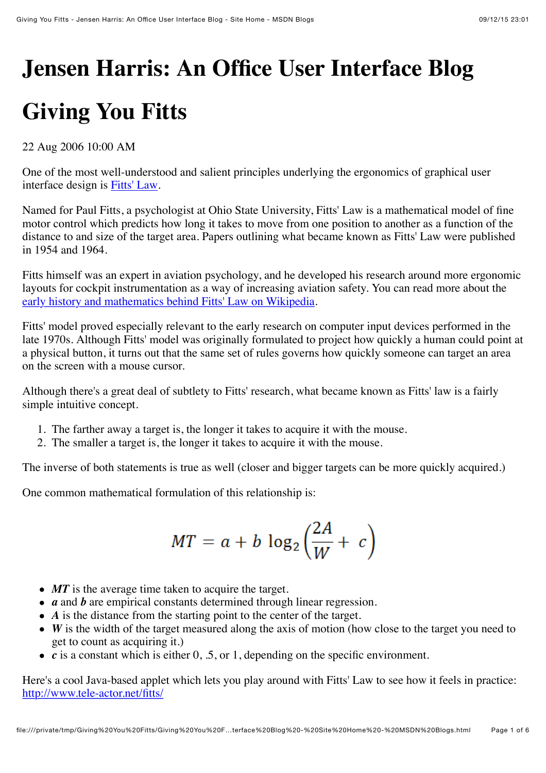# **Jensen Harris: An Office User Interface Blog**

## **Giving You Fitts**

22 Aug 2006 10:00 AM

One of the most well-understood and salient principles underlying the ergonomics of graphical user interface design is [Fitts' Law.](http://en.wikipedia.org/wiki/Fitts%27_law)

Named for Paul Fitts, a psychologist at Ohio State University, Fitts' Law is a mathematical model of fine motor control which predicts how long it takes to move from one position to another as a function of the distance to and size of the target area. Papers outlining what became known as Fitts' Law were published in 1954 and 1964.

Fitts himself was an expert in aviation psychology, and he developed his research around more ergonomic layouts for cockpit instrumentation as a way of increasing aviation safety. You can read more about the [early history and mathematics behind Fitts' Law on Wikipedia.](http://en.wikipedia.org/wiki/Fitts%27_law)

Fitts' model proved especially relevant to the early research on computer input devices performed in the late 1970s. Although Fitts' model was originally formulated to project how quickly a human could point at a physical button, it turns out that the same set of rules governs how quickly someone can target an area on the screen with a mouse cursor.

Although there's a great deal of subtlety to Fitts' research, what became known as Fitts' law is a fairly simple intuitive concept.

- 1. The farther away a target is, the longer it takes to acquire it with the mouse.
- 2. The smaller a target is, the longer it takes to acquire it with the mouse.

The inverse of both statements is true as well (closer and bigger targets can be more quickly acquired.)

One common mathematical formulation of this relationship is:

$$
MT = a + b \log_2 \left(\frac{2A}{W} + c\right)
$$

- MT is the average time taken to acquire the target.
- *a* and *b* are empirical constants determined through linear regression.
- *A* is the distance from the starting point to the center of the target.
- *W* is the width of the target measured along the axis of motion (how close to the target you need to get to count as acquiring it.)
- *c* is a constant which is either 0, .5, or 1, depending on the specific environment.

Here's a cool Java-based applet which lets you play around with Fitts' Law to see how it feels in practice: <http://www.tele-actor.net/fitts/>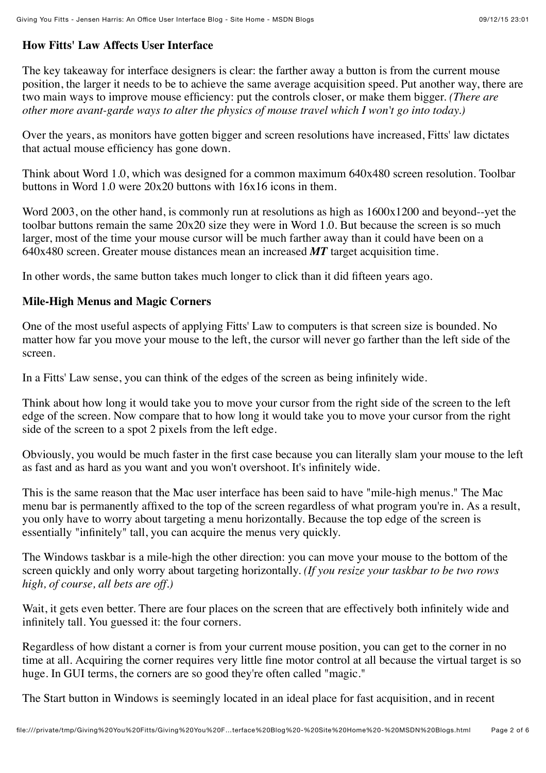#### **How Fitts' Law Affects User Interface**

The key takeaway for interface designers is clear: the farther away a button is from the current mouse position, the larger it needs to be to achieve the same average acquisition speed. Put another way, there are two main ways to improve mouse efficiency: put the controls closer, or make them bigger. *(There are other more avant-garde ways to alter the physics of mouse travel which I won't go into today.)*

Over the years, as monitors have gotten bigger and screen resolutions have increased, Fitts' law dictates that actual mouse efficiency has gone down.

Think about Word 1.0, which was designed for a common maximum 640x480 screen resolution. Toolbar buttons in Word 1.0 were 20x20 buttons with 16x16 icons in them.

Word 2003, on the other hand, is commonly run at resolutions as high as 1600x1200 and beyond--yet the toolbar buttons remain the same 20x20 size they were in Word 1.0. But because the screen is so much larger, most of the time your mouse cursor will be much farther away than it could have been on a 640x480 screen. Greater mouse distances mean an increased *MT* target acquisition time.

In other words, the same button takes much longer to click than it did fifteen years ago.

#### **Mile-High Menus and Magic Corners**

One of the most useful aspects of applying Fitts' Law to computers is that screen size is bounded. No matter how far you move your mouse to the left, the cursor will never go farther than the left side of the screen.

In a Fitts' Law sense, you can think of the edges of the screen as being infinitely wide.

Think about how long it would take you to move your cursor from the right side of the screen to the left edge of the screen. Now compare that to how long it would take you to move your cursor from the right side of the screen to a spot 2 pixels from the left edge.

Obviously, you would be much faster in the first case because you can literally slam your mouse to the left as fast and as hard as you want and you won't overshoot. It's infinitely wide.

This is the same reason that the Mac user interface has been said to have "mile-high menus." The Mac menu bar is permanently affixed to the top of the screen regardless of what program you're in. As a result, you only have to worry about targeting a menu horizontally. Because the top edge of the screen is essentially "infinitely" tall, you can acquire the menus very quickly.

The Windows taskbar is a mile-high the other direction: you can move your mouse to the bottom of the screen quickly and only worry about targeting horizontally. *(If you resize your taskbar to be two rows high, of course, all bets are off.)*

Wait, it gets even better. There are four places on the screen that are effectively both infinitely wide and infinitely tall. You guessed it: the four corners.

Regardless of how distant a corner is from your current mouse position, you can get to the corner in no time at all. Acquiring the corner requires very little fine motor control at all because the virtual target is so huge. In GUI terms, the corners are so good they're often called "magic."

The Start button in Windows is seemingly located in an ideal place for fast acquisition, and in recent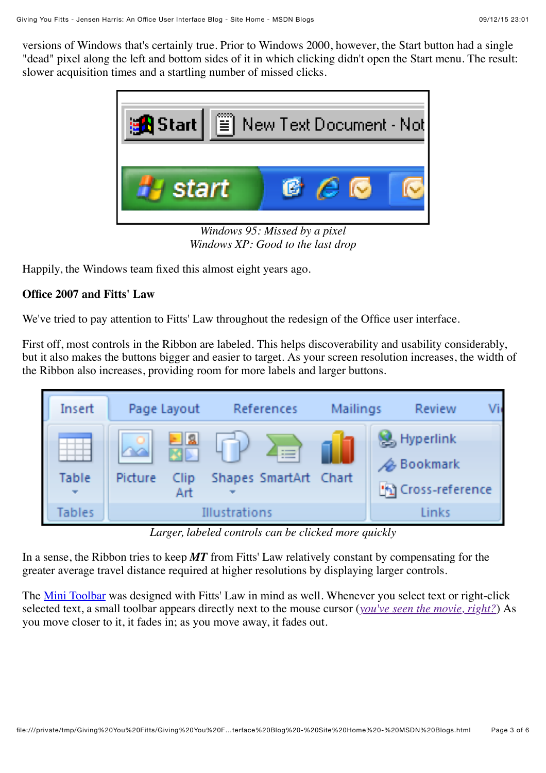versions of Windows that's certainly true. Prior to Windows 2000, however, the Start button had a single "dead" pixel along the left and bottom sides of it in which clicking didn't open the Start menu. The result: slower acquisition times and a startling number of missed clicks.



*Windows XP: Good to the last drop*

Happily, the Windows team fixed this almost eight years ago.

#### **Office 2007 and Fitts' Law**

We've tried to pay attention to Fitts' Law throughout the redesign of the Office user interface.

First off, most controls in the Ribbon are labeled. This helps discoverability and usability considerably, but it also makes the buttons bigger and easier to target. As your screen resolution increases, the width of the Ribbon also increases, providing room for more labels and larger buttons.



*Larger, labeled controls can be clicked more quickly*

In a sense, the Ribbon tries to keep *MT* from Fitts' Law relatively constant by compensating for the greater average travel distance required at higher resolutions by displaying larger controls.

The [Mini Toolbar](http://blogs.msdn.com/jensenh/archive/2005/10/06/477801.aspx) was designed with Fitts' Law in mind as well. Whenever you select text or right-click selected text, a small toolbar appears directly next to the mouse cursor (*[you've seen the movie, right?](http://www.sunflowerhead.com/msimages/MiniBar.wmv)*) As you move closer to it, it fades in; as you move away, it fades out.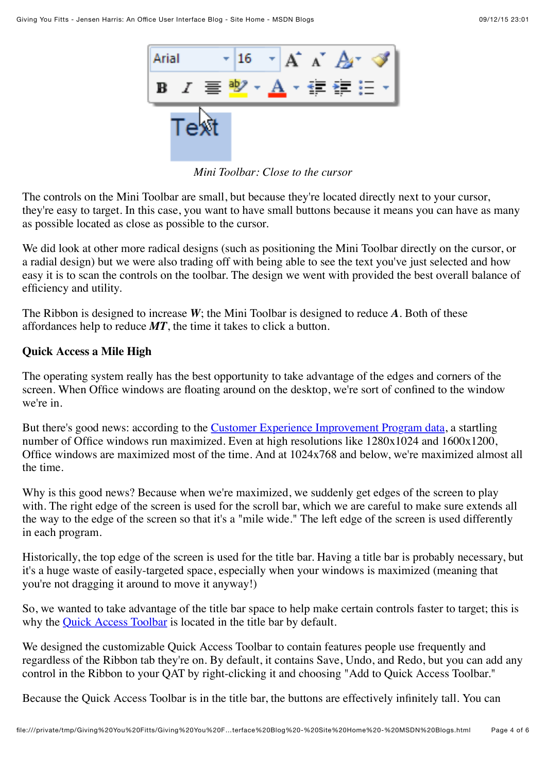

*Mini Toolbar: Close to the cursor*

The controls on the Mini Toolbar are small, but because they're located directly next to your cursor, they're easy to target. In this case, you want to have small buttons because it means you can have as many as possible located as close as possible to the cursor.

We did look at other more radical designs (such as positioning the Mini Toolbar directly on the cursor, or a radial design) but we were also trading off with being able to see the text you've just selected and how easy it is to scan the controls on the toolbar. The design we went with provided the best overall balance of efficiency and utility.

The Ribbon is designed to increase *W*; the Mini Toolbar is designed to reduce *A*. Both of these affordances help to reduce *MT*, the time it takes to click a button.

### **Quick Access a Mile High**

The operating system really has the best opportunity to take advantage of the edges and corners of the screen. When Office windows are floating around on the desktop, we're sort of confined to the window we're in.

But there's good news: according to the [Customer Experience Improvement Program data,](http://blogs.msdn.com/jensenh/archive/2006/04/05/568947.aspx) a startling number of Office windows run maximized. Even at high resolutions like  $1280x1024$  and  $1600x1200$ , Office windows are maximized most of the time. And at 1024x768 and below, we're maximized almost all the time.

Why is this good news? Because when we're maximized, we suddenly get edges of the screen to play with. The right edge of the screen is used for the scroll bar, which we are careful to make sure extends all the way to the edge of the screen so that it's a "mile wide." The left edge of the screen is used differently in each program.

Historically, the top edge of the screen is used for the title bar. Having a title bar is probably necessary, but it's a huge waste of easily-targeted space, especially when your windows is maximized (meaning that you're not dragging it around to move it anyway!)

So, we wanted to take advantage of the title bar space to help make certain controls faster to target; this is why the [Quick Access Toolbar](http://blogs.msdn.com/jensenh/archive/2006/03/14/551142.aspx) is located in the title bar by default.

We designed the customizable Quick Access Toolbar to contain features people use frequently and regardless of the Ribbon tab they're on. By default, it contains Save, Undo, and Redo, but you can add any control in the Ribbon to your QAT by right-clicking it and choosing "Add to Quick Access Toolbar."

Because the Quick Access Toolbar is in the title bar, the buttons are effectively infinitely tall. You can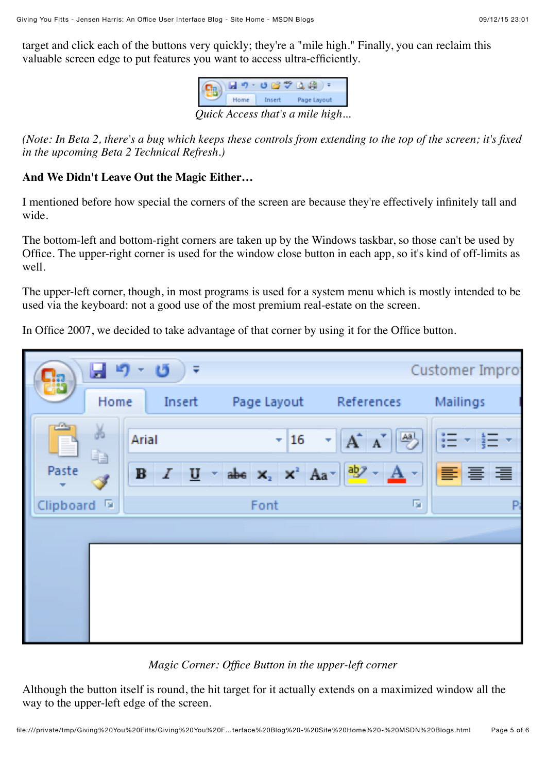target and click each of the buttons very quickly; they're a "mile high." Finally, you can reclaim this valuable screen edge to put features you want to access ultra-efficiently.



*(Note: In Beta 2, there's a bug which keeps these controls from extending to the top of the screen; it's fixed in the upcoming Beta 2 Technical Refresh.)*

#### **And We Didn't Leave Out the Magic Either…**

I mentioned before how special the corners of the screen are because they're effectively infinitely tall and wide.

The bottom-left and bottom-right corners are taken up by the Windows taskbar, so those can't be used by Office. The upper-right corner is used for the window close button in each app, so it's kind of off-limits as well.

The upper-left corner, though, in most programs is used for a system menu which is mostly intended to be used via the keyboard: not a good use of the most premium real-estate on the screen.

In Office 2007, we decided to take advantage of that corner by using it for the Office button.

| Ы9<br>鹄                                | - 6<br>Customer Impro<br>÷ |                |                                                                                                                                                         |          |
|----------------------------------------|----------------------------|----------------|---------------------------------------------------------------------------------------------------------------------------------------------------------|----------|
| Home                                   | Insert                     | Page Layout    | References                                                                                                                                              | Mailings |
| $\frac{a}{1}$<br>¥<br>F.<br>ŧ<br>Paste | Arial<br>$B$ $I$           | $\frac{16}{ }$ | $\frac{ \mathbf{A}\mathbf{B} }{\sqrt{2}}$<br>$A^{\dagger} A^{\dagger}$<br>٠<br>$\underline{U}$ - abe $x_2$ $x^2$ $Aa - \frac{aby}{2} - \underline{A}$ - | 国言理<br>ш |
| Clipboard <sup>5</sup>                 |                            | Font           | 匾                                                                                                                                                       | P        |
|                                        |                            |                |                                                                                                                                                         |          |

#### *Magic Corner: Office Button in the upper-left corner*

Although the button itself is round, the hit target for it actually extends on a maximized window all the way to the upper-left edge of the screen.